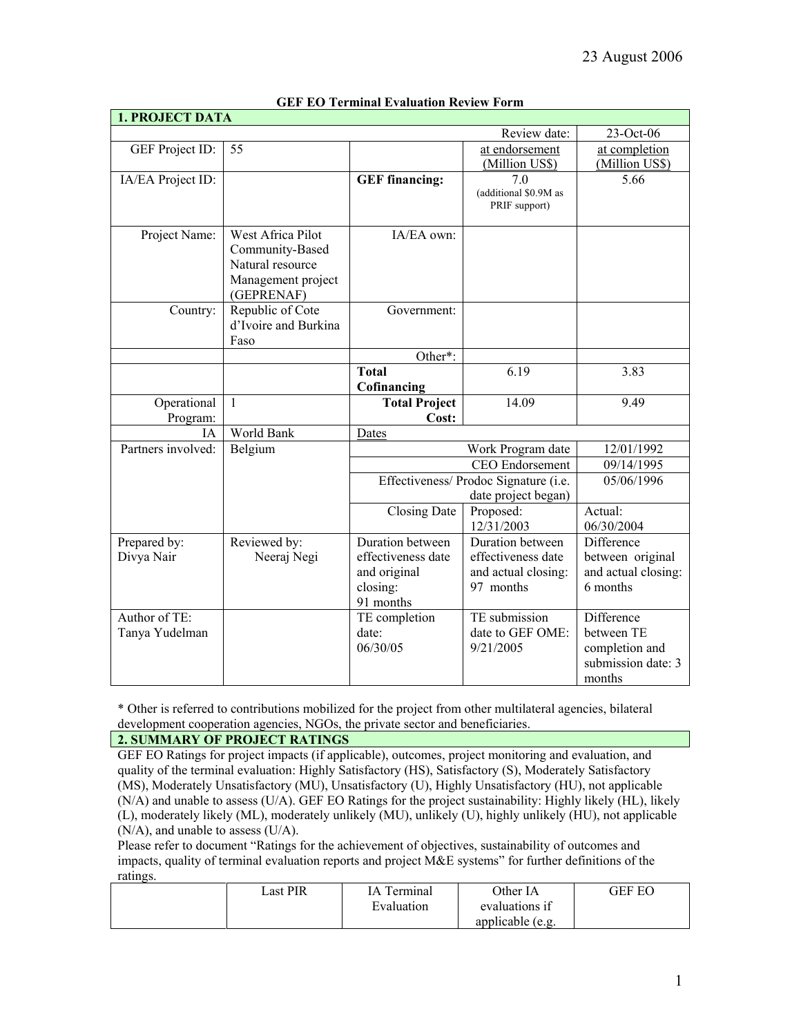| <b>1. PROJECT DATA</b>        |                      |                                       |                       |                                      |
|-------------------------------|----------------------|---------------------------------------|-----------------------|--------------------------------------|
|                               |                      |                                       | Review date:          | 23-Oct-06                            |
| GEF Project ID:               | 55                   |                                       | at endorsement        | at completion                        |
|                               |                      |                                       | (Million US\$)        | (Million US\$)                       |
| IA/EA Project ID:             |                      | <b>GEF</b> financing:                 | 7.0                   | 5.66                                 |
|                               |                      |                                       | (additional \$0.9M as |                                      |
|                               |                      |                                       | PRIF support)         |                                      |
| Project Name:                 | West Africa Pilot    | IA/EA own:                            |                       |                                      |
|                               | Community-Based      |                                       |                       |                                      |
|                               | Natural resource     |                                       |                       |                                      |
|                               | Management project   |                                       |                       |                                      |
|                               | (GEPRENAF)           |                                       |                       |                                      |
| Country:                      | Republic of Cote     | Government:                           |                       |                                      |
|                               | d'Ivoire and Burkina |                                       |                       |                                      |
|                               | Faso                 | Other*:                               |                       |                                      |
|                               |                      | <b>Total</b>                          | 6.19                  | 3.83                                 |
|                               |                      | Cofinancing                           |                       |                                      |
| Operational                   | $\mathbf{1}$         | <b>Total Project</b>                  | 14.09                 | 9.49                                 |
| Program:                      |                      | Cost:                                 |                       |                                      |
| ĪΑ                            | World Bank           | Dates                                 |                       |                                      |
| Partners involved:<br>Belgium |                      | Work Program date                     | 12/01/1992            |                                      |
|                               |                      |                                       | CEO Endorsement       | 09/14/1995                           |
|                               |                      | Effectiveness/ Prodoc Signature (i.e. |                       | 05/06/1996                           |
|                               |                      | date project began)                   |                       |                                      |
|                               |                      | Proposed:<br><b>Closing Date</b>      |                       | Actual:                              |
|                               |                      |                                       | 12/31/2003            | 06/30/2004                           |
| Prepared by:                  | Reviewed by:         | Duration between                      | Duration between      | Difference                           |
| Divya Nair                    | Neeraj Negi          | effectiveness date                    | effectiveness date    | between original                     |
|                               |                      | and original                          | and actual closing:   | and actual closing:                  |
|                               |                      | closing:                              | 97 months             | 6 months                             |
|                               |                      | 91 months                             |                       |                                      |
| Author of TE:                 |                      | TE completion                         | TE submission         | Difference                           |
| Tanya Yudelman                |                      | date:                                 | date to GEF OME:      | between TE                           |
|                               |                      | 06/30/05                              | 9/21/2005             | completion and<br>submission date: 3 |
|                               |                      |                                       |                       | months                               |
|                               |                      |                                       |                       |                                      |

## **GEF EO Terminal Evaluation Review Form**

\* Other is referred to contributions mobilized for the project from other multilateral agencies, bilateral development cooperation agencies, NGOs, the private sector and beneficiaries.

# **2. SUMMARY OF PROJECT RATINGS**

GEF EO Ratings for project impacts (if applicable), outcomes, project monitoring and evaluation, and quality of the terminal evaluation: Highly Satisfactory (HS), Satisfactory (S), Moderately Satisfactory (MS), Moderately Unsatisfactory (MU), Unsatisfactory (U), Highly Unsatisfactory (HU), not applicable (N/A) and unable to assess (U/A). GEF EO Ratings for the project sustainability: Highly likely (HL), likely (L), moderately likely (ML), moderately unlikely (MU), unlikely (U), highly unlikely (HU), not applicable (N/A), and unable to assess (U/A).

Please refer to document "Ratings for the achievement of objectives, sustainability of outcomes and impacts, quality of terminal evaluation reports and project M&E systems" for further definitions of the ratings.

| Last PIR | ſА<br><sup>r</sup> erminal | Other IA         | GEF EO |
|----------|----------------------------|------------------|--------|
|          | Evaluation                 | evaluations if   |        |
|          |                            | applicable (e.g. |        |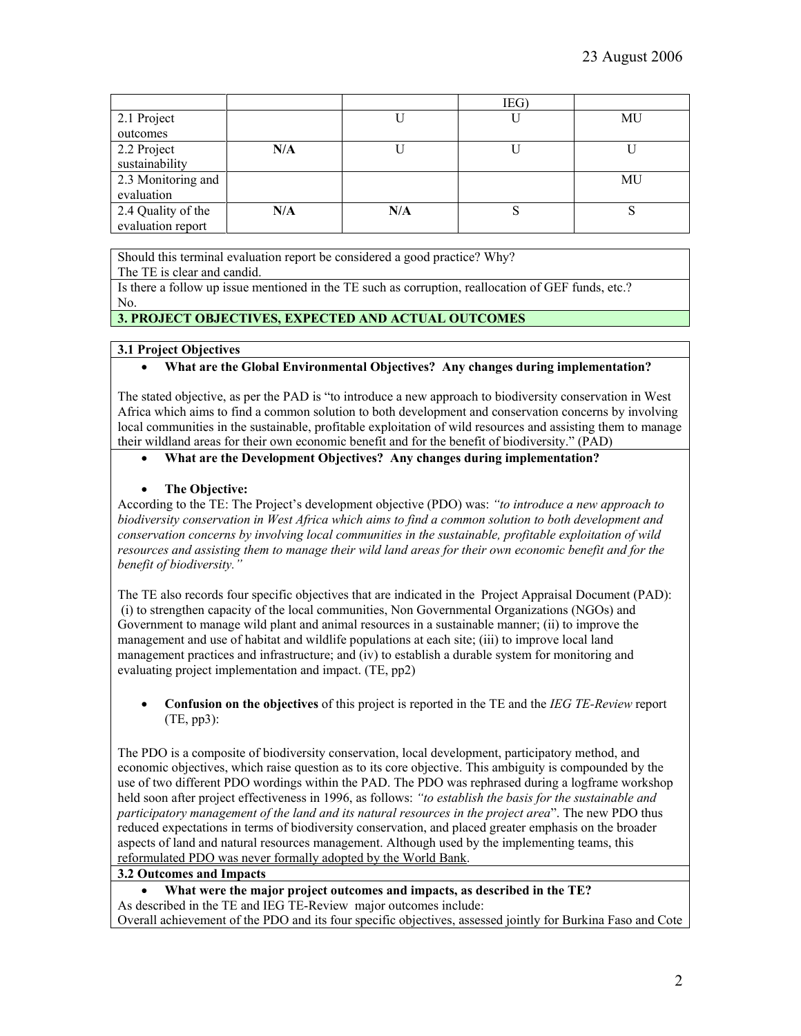|                    |     |     | IEG) |    |
|--------------------|-----|-----|------|----|
| 2.1 Project        |     |     |      | MU |
| outcomes           |     |     |      |    |
| 2.2 Project        | N/A |     |      |    |
| sustainability     |     |     |      |    |
| 2.3 Monitoring and |     |     |      | MU |
| evaluation         |     |     |      |    |
| 2.4 Quality of the | N/A | N/A |      |    |
| evaluation report  |     |     |      |    |

Should this terminal evaluation report be considered a good practice? Why?

The TE is clear and candid.

Is there a follow up issue mentioned in the TE such as corruption, reallocation of GEF funds, etc.? No.

# **3. PROJECT OBJECTIVES, EXPECTED AND ACTUAL OUTCOMES**

# **3.1 Project Objectives**

# • **What are the Global Environmental Objectives? Any changes during implementation?**

The stated objective, as per the PAD is "to introduce a new approach to biodiversity conservation in West Africa which aims to find a common solution to both development and conservation concerns by involving local communities in the sustainable, profitable exploitation of wild resources and assisting them to manage their wildland areas for their own economic benefit and for the benefit of biodiversity." (PAD)

# • **What are the Development Objectives? Any changes during implementation?**

# • **The Objective:**

According to the TE: The Project's development objective (PDO) was: *"to introduce a new approach to biodiversity conservation in West Africa which aims to find a common solution to both development and conservation concerns by involving local communities in the sustainable, profitable exploitation of wild resources and assisting them to manage their wild land areas for their own economic benefit and for the benefit of biodiversity."*

The TE also records four specific objectives that are indicated in the Project Appraisal Document (PAD): (i) to strengthen capacity of the local communities, Non Governmental Organizations (NGOs) and Government to manage wild plant and animal resources in a sustainable manner; (ii) to improve the management and use of habitat and wildlife populations at each site; (iii) to improve local land management practices and infrastructure; and (iv) to establish a durable system for monitoring and evaluating project implementation and impact. (TE, pp2)

• **Confusion on the objectives** of this project is reported in the TE and the *IEG TE-Review* report (TE, pp3):

The PDO is a composite of biodiversity conservation, local development, participatory method, and economic objectives, which raise question as to its core objective. This ambiguity is compounded by the use of two different PDO wordings within the PAD. The PDO was rephrased during a logframe workshop held soon after project effectiveness in 1996, as follows: *"to establish the basis for the sustainable and participatory management of the land and its natural resources in the project area*". The new PDO thus reduced expectations in terms of biodiversity conservation, and placed greater emphasis on the broader aspects of land and natural resources management. Although used by the implementing teams, this reformulated PDO was never formally adopted by the World Bank.

# **3.2 Outcomes and Impacts**

• **What were the major project outcomes and impacts, as described in the TE?** As described in the TE and IEG TE-Review major outcomes include:

Overall achievement of the PDO and its four specific objectives, assessed jointly for Burkina Faso and Cote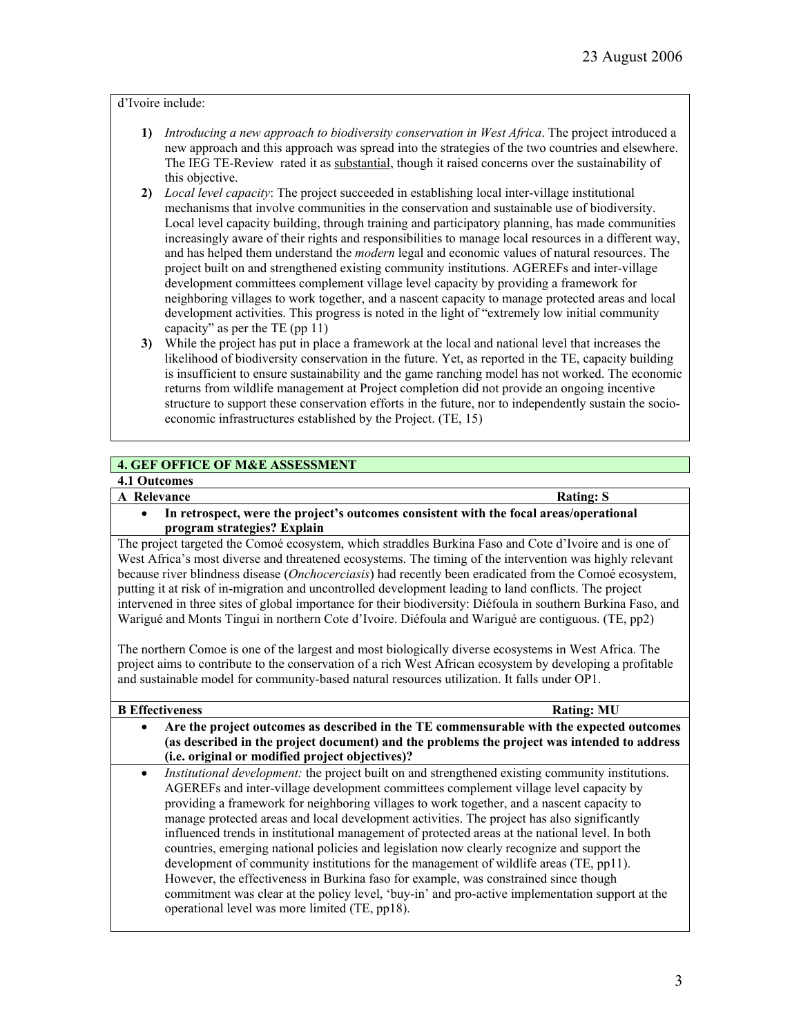## d'Ivoire include:

- **1)** *Introducing a new approach to biodiversity conservation in West Africa*. The project introduced a new approach and this approach was spread into the strategies of the two countries and elsewhere. The IEG TE-Review rated it as substantial, though it raised concerns over the sustainability of this objective.
- **2)** *Local level capacity*: The project succeeded in establishing local inter-village institutional mechanisms that involve communities in the conservation and sustainable use of biodiversity. Local level capacity building, through training and participatory planning, has made communities increasingly aware of their rights and responsibilities to manage local resources in a different way, and has helped them understand the *modern* legal and economic values of natural resources. The project built on and strengthened existing community institutions. AGEREFs and inter-village development committees complement village level capacity by providing a framework for neighboring villages to work together, and a nascent capacity to manage protected areas and local development activities. This progress is noted in the light of "extremely low initial community capacity" as per the TE (pp 11)
- **3)** While the project has put in place a framework at the local and national level that increases the likelihood of biodiversity conservation in the future. Yet, as reported in the TE, capacity building is insufficient to ensure sustainability and the game ranching model has not worked. The economic returns from wildlife management at Project completion did not provide an ongoing incentive structure to support these conservation efforts in the future, nor to independently sustain the socioeconomic infrastructures established by the Project. (TE, 15)

# **4. GEF OFFICE OF M&E ASSESSMENT**

# **4.1 Outcomes**

**A** Relevance Rating: S

• **In retrospect, were the project's outcomes consistent with the focal areas/operational program strategies? Explain**

The project targeted the Comoé ecosystem, which straddles Burkina Faso and Cote d'Ivoire and is one of West Africa's most diverse and threatened ecosystems. The timing of the intervention was highly relevant because river blindness disease (*Onchocerciasis*) had recently been eradicated from the Comoé ecosystem, putting it at risk of in-migration and uncontrolled development leading to land conflicts. The project intervened in three sites of global importance for their biodiversity: Diéfoula in southern Burkina Faso, and Warigué and Monts Tingui in northern Cote d'Ivoire. Diéfoula and Warigué are contiguous. (TE, pp2)

The northern Comoe is one of the largest and most biologically diverse ecosystems in West Africa. The project aims to contribute to the conservation of a rich West African ecosystem by developing a profitable and sustainable model for community-based natural resources utilization. It falls under OP1.

#### **B Effectiveness** Rating: MU

- **Are the project outcomes as described in the TE commensurable with the expected outcomes (as described in the project document) and the problems the project was intended to address (i.e. original or modified project objectives)?** 
	- *Institutional development:* the project built on and strengthened existing community institutions. AGEREFs and inter-village development committees complement village level capacity by providing a framework for neighboring villages to work together, and a nascent capacity to manage protected areas and local development activities. The project has also significantly influenced trends in institutional management of protected areas at the national level. In both countries, emerging national policies and legislation now clearly recognize and support the development of community institutions for the management of wildlife areas (TE, pp11). However, the effectiveness in Burkina faso for example, was constrained since though commitment was clear at the policy level, 'buy-in' and pro-active implementation support at the operational level was more limited (TE, pp18).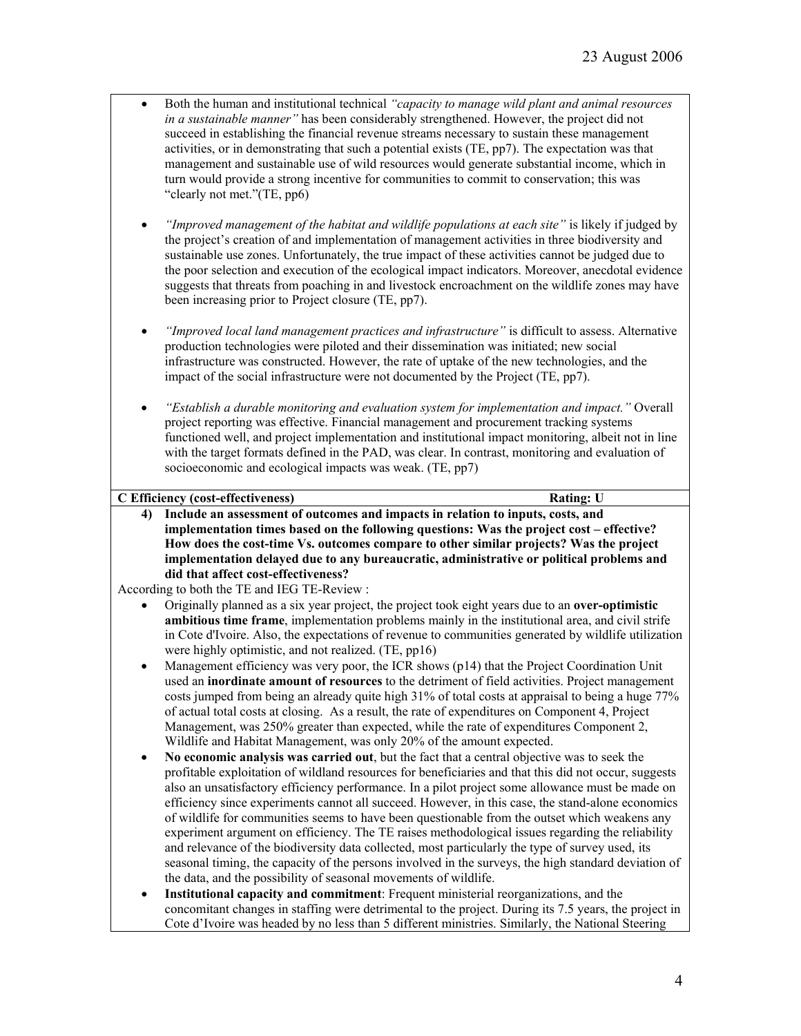- Both the human and institutional technical *"capacity to manage wild plant and animal resources in a sustainable manner"* has been considerably strengthened. However, the project did not succeed in establishing the financial revenue streams necessary to sustain these management activities, or in demonstrating that such a potential exists (TE, pp7). The expectation was that management and sustainable use of wild resources would generate substantial income, which in turn would provide a strong incentive for communities to commit to conservation; this was "clearly not met."(TE, pp6)
- *"Improved management of the habitat and wildlife populations at each site"* is likely if judged by the project's creation of and implementation of management activities in three biodiversity and sustainable use zones. Unfortunately, the true impact of these activities cannot be judged due to the poor selection and execution of the ecological impact indicators. Moreover, anecdotal evidence suggests that threats from poaching in and livestock encroachment on the wildlife zones may have been increasing prior to Project closure (TE, pp7).
- *"Improved local land management practices and infrastructure"* is difficult to assess. Alternative production technologies were piloted and their dissemination was initiated; new social infrastructure was constructed. However, the rate of uptake of the new technologies, and the impact of the social infrastructure were not documented by the Project (TE, pp7).
- *"Establish a durable monitoring and evaluation system for implementation and impact."* Overall project reporting was effective. Financial management and procurement tracking systems functioned well, and project implementation and institutional impact monitoring, albeit not in line with the target formats defined in the PAD, was clear. In contrast, monitoring and evaluation of socioeconomic and ecological impacts was weak. (TE, pp7)

#### **C Efficiency (cost-effectiveness) Rating: U**

**4) Include an assessment of outcomes and impacts in relation to inputs, costs, and implementation times based on the following questions: Was the project cost – effective? How does the cost-time Vs. outcomes compare to other similar projects? Was the project implementation delayed due to any bureaucratic, administrative or political problems and did that affect cost-effectiveness?** 

According to both the TE and IEG TE-Review :

- Originally planned as a six year project, the project took eight years due to an **over-optimistic ambitious time frame**, implementation problems mainly in the institutional area, and civil strife in Cote d'Ivoire. Also, the expectations of revenue to communities generated by wildlife utilization were highly optimistic, and not realized. (TE, pp16)
- Management efficiency was very poor, the ICR shows (p14) that the Project Coordination Unit used an **inordinate amount of resources** to the detriment of field activities. Project management costs jumped from being an already quite high 31% of total costs at appraisal to being a huge 77% of actual total costs at closing. As a result, the rate of expenditures on Component 4, Project Management, was 250% greater than expected, while the rate of expenditures Component 2, Wildlife and Habitat Management, was only 20% of the amount expected.
- **No economic analysis was carried out**, but the fact that a central objective was to seek the profitable exploitation of wildland resources for beneficiaries and that this did not occur, suggests also an unsatisfactory efficiency performance. In a pilot project some allowance must be made on efficiency since experiments cannot all succeed. However, in this case, the stand-alone economics of wildlife for communities seems to have been questionable from the outset which weakens any experiment argument on efficiency. The TE raises methodological issues regarding the reliability and relevance of the biodiversity data collected, most particularly the type of survey used, its seasonal timing, the capacity of the persons involved in the surveys, the high standard deviation of the data, and the possibility of seasonal movements of wildlife.
- **Institutional capacity and commitment**: Frequent ministerial reorganizations, and the concomitant changes in staffing were detrimental to the project. During its 7.5 years, the project in Cote d'Ivoire was headed by no less than 5 different ministries. Similarly, the National Steering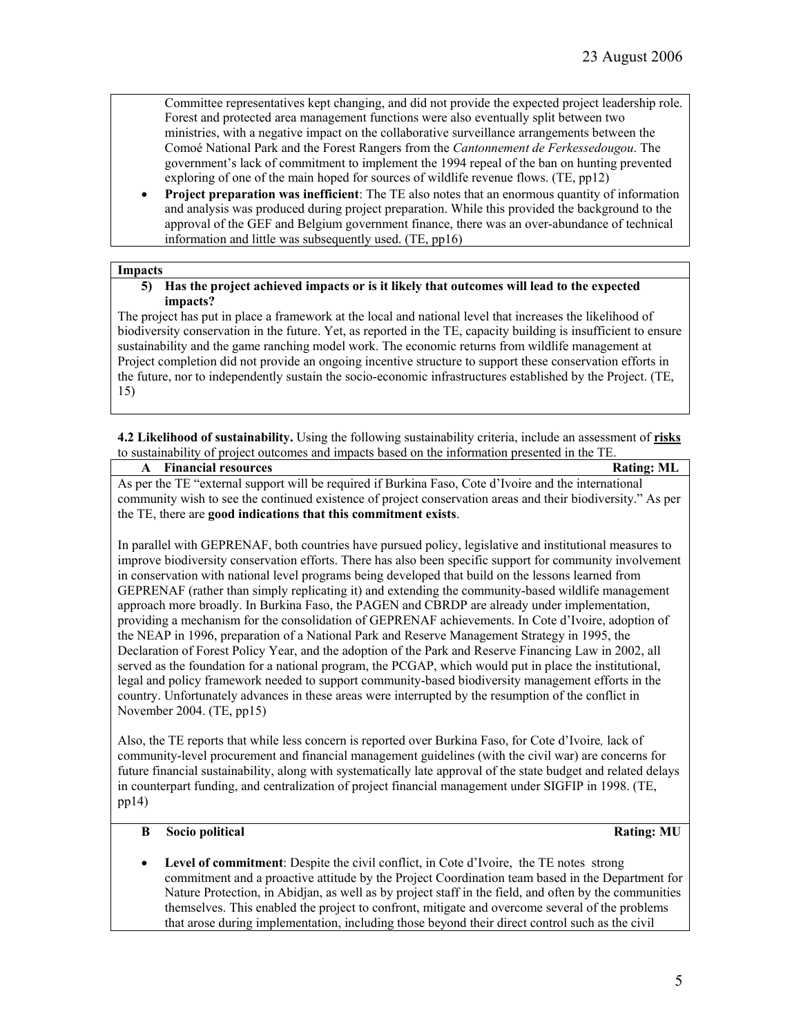Committee representatives kept changing, and did not provide the expected project leadership role. Forest and protected area management functions were also eventually split between two ministries, with a negative impact on the collaborative surveillance arrangements between the Comoé National Park and the Forest Rangers from the *Cantonnement de Ferkessedougou*. The government's lack of commitment to implement the 1994 repeal of the ban on hunting prevented exploring of one of the main hoped for sources of wildlife revenue flows. (TE, pp12)

• **Project preparation was inefficient**: The TE also notes that an enormous quantity of information and analysis was produced during project preparation. While this provided the background to the approval of the GEF and Belgium government finance, there was an over-abundance of technical information and little was subsequently used. (TE, pp16)

#### **Impacts**

**5) Has the project achieved impacts or is it likely that outcomes will lead to the expected impacts?** 

The project has put in place a framework at the local and national level that increases the likelihood of biodiversity conservation in the future. Yet, as reported in the TE, capacity building is insufficient to ensure sustainability and the game ranching model work. The economic returns from wildlife management at Project completion did not provide an ongoing incentive structure to support these conservation efforts in the future, nor to independently sustain the socio-economic infrastructures established by the Project. (TE, 15)

**4.2 Likelihood of sustainability.** Using the following sustainability criteria, include an assessment of **risks** to sustainability of project outcomes and impacts based on the information presented in the TE.

| <b>A</b> Financial resources                                                                                | <b>Rating: ML</b> |  |
|-------------------------------------------------------------------------------------------------------------|-------------------|--|
| As per the TE "external support will be required if Burkina Faso, Cote d'Ivoire and the international       |                   |  |
| community wish to see the continued existence of project conservation areas and their biodiversity." As per |                   |  |
| the TE, there are good indications that this commitment exists.                                             |                   |  |

In parallel with GEPRENAF, both countries have pursued policy, legislative and institutional measures to improve biodiversity conservation efforts. There has also been specific support for community involvement in conservation with national level programs being developed that build on the lessons learned from GEPRENAF (rather than simply replicating it) and extending the community-based wildlife management approach more broadly. In Burkina Faso, the PAGEN and CBRDP are already under implementation, providing a mechanism for the consolidation of GEPRENAF achievements. In Cote d'Ivoire, adoption of the NEAP in 1996, preparation of a National Park and Reserve Management Strategy in 1995, the Declaration of Forest Policy Year, and the adoption of the Park and Reserve Financing Law in 2002, all served as the foundation for a national program, the PCGAP, which would put in place the institutional, legal and policy framework needed to support community-based biodiversity management efforts in the country. Unfortunately advances in these areas were interrupted by the resumption of the conflict in November 2004. (TE, pp15)

Also, the TE reports that while less concern is reported over Burkina Faso, for Cote d'Ivoire*,* lack of community-level procurement and financial management guidelines (with the civil war) are concerns for future financial sustainability, along with systematically late approval of the state budget and related delays in counterpart funding, and centralization of project financial management under SIGFIP in 1998. (TE, pp14)

## **B** Socio political Rating: **MU**

• **Level of commitment**: Despite the civil conflict, in Cote d'Ivoire, the TE notes strong commitment and a proactive attitude by the Project Coordination team based in the Department for Nature Protection, in Abidjan, as well as by project staff in the field, and often by the communities themselves. This enabled the project to confront, mitigate and overcome several of the problems that arose during implementation, including those beyond their direct control such as the civil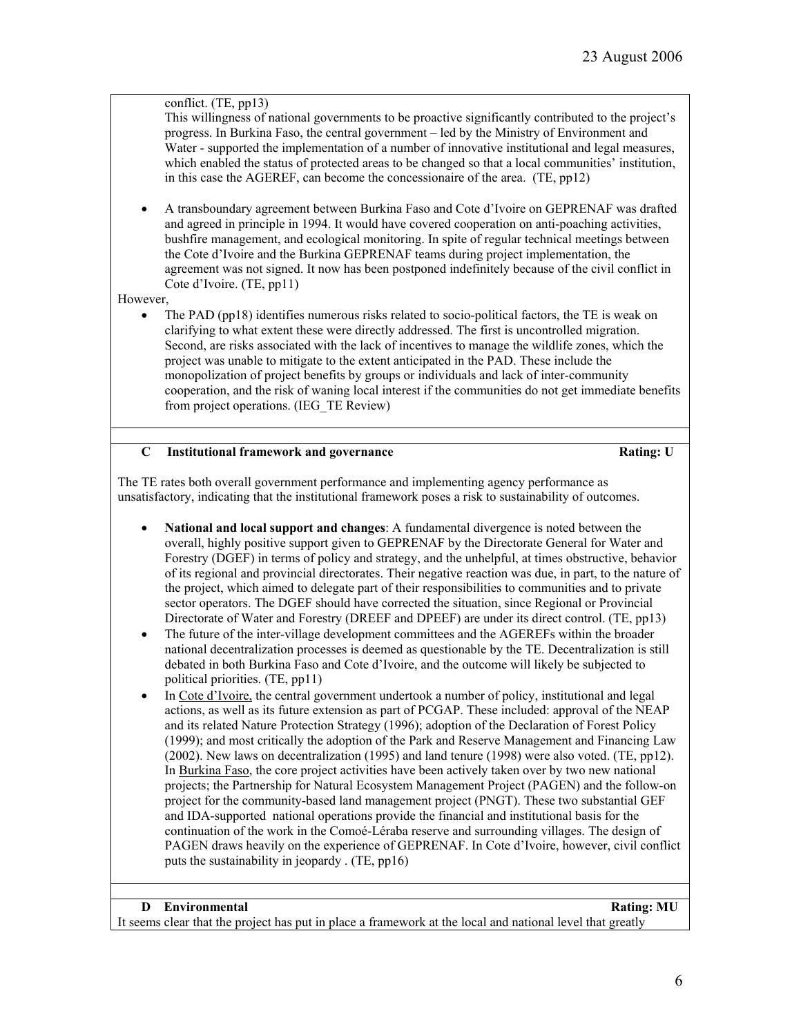## conflict. (TE, pp13)

This willingness of national governments to be proactive significantly contributed to the project's progress. In Burkina Faso, the central government – led by the Ministry of Environment and Water - supported the implementation of a number of innovative institutional and legal measures, which enabled the status of protected areas to be changed so that a local communities' institution, in this case the AGEREF, can become the concessionaire of the area. (TE, pp12)

• A transboundary agreement between Burkina Faso and Cote d'Ivoire on GEPRENAF was drafted and agreed in principle in 1994. It would have covered cooperation on anti-poaching activities, bushfire management, and ecological monitoring. In spite of regular technical meetings between the Cote d'Ivoire and the Burkina GEPRENAF teams during project implementation, the agreement was not signed. It now has been postponed indefinitely because of the civil conflict in Cote d'Ivoire. (TE, pp11)

## However,

• The PAD (pp18) identifies numerous risks related to socio-political factors, the TE is weak on clarifying to what extent these were directly addressed. The first is uncontrolled migration. Second, are risks associated with the lack of incentives to manage the wildlife zones, which the project was unable to mitigate to the extent anticipated in the PAD. These include the monopolization of project benefits by groups or individuals and lack of inter-community cooperation, and the risk of waning local interest if the communities do not get immediate benefits from project operations. (IEG\_TE Review)

## **C** Institutional framework and governance **Rating:** U

The TE rates both overall government performance and implementing agency performance as unsatisfactory, indicating that the institutional framework poses a risk to sustainability of outcomes.

- **National and local support and changes**: A fundamental divergence is noted between the overall, highly positive support given to GEPRENAF by the Directorate General for Water and Forestry (DGEF) in terms of policy and strategy, and the unhelpful, at times obstructive, behavior of its regional and provincial directorates. Their negative reaction was due, in part, to the nature of the project, which aimed to delegate part of their responsibilities to communities and to private sector operators. The DGEF should have corrected the situation, since Regional or Provincial Directorate of Water and Forestry (DREEF and DPEEF) are under its direct control. (TE, pp13)
- The future of the inter-village development committees and the AGEREFs within the broader national decentralization processes is deemed as questionable by the TE. Decentralization is still debated in both Burkina Faso and Cote d'Ivoire, and the outcome will likely be subjected to political priorities. (TE, pp11)
- In Cote d'Ivoire, the central government undertook a number of policy, institutional and legal actions, as well as its future extension as part of PCGAP. These included: approval of the NEAP and its related Nature Protection Strategy (1996); adoption of the Declaration of Forest Policy (1999); and most critically the adoption of the Park and Reserve Management and Financing Law (2002). New laws on decentralization (1995) and land tenure (1998) were also voted. (TE, pp12). In Burkina Faso, the core project activities have been actively taken over by two new national projects; the Partnership for Natural Ecosystem Management Project (PAGEN) and the follow-on project for the community-based land management project (PNGT). These two substantial GEF and IDA-supported national operations provide the financial and institutional basis for the continuation of the work in the Comoé-Léraba reserve and surrounding villages. The design of PAGEN draws heavily on the experience of GEPRENAF. In Cote d'Ivoire, however, civil conflict puts the sustainability in jeopardy . (TE, pp16)

#### **D** Environmental Rating: MU

It seems clear that the project has put in place a framework at the local and national level that greatly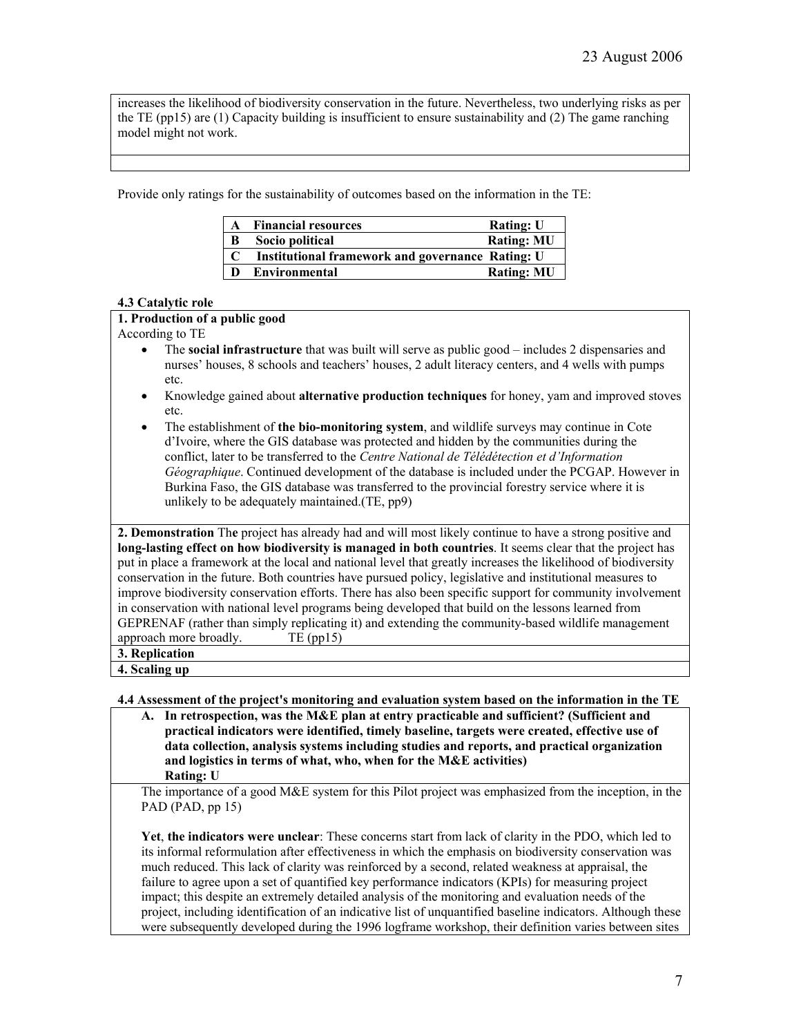increases the likelihood of biodiversity conservation in the future. Nevertheless, two underlying risks as per the TE (pp15) are (1) Capacity building is insufficient to ensure sustainability and (2) The game ranching model might not work.

Provide only ratings for the sustainability of outcomes based on the information in the TE:

|             | A Financial resources                            | <b>Rating: U</b>  |
|-------------|--------------------------------------------------|-------------------|
| B           | Socio political                                  | <b>Rating: MU</b> |
| $\mathbf C$ | Institutional framework and governance Rating: U |                   |
| D           | Environmental                                    | <b>Rating: MU</b> |

## **4.3 Catalytic role**

## **1. Production of a public good**

According to TE

- The **social infrastructure** that was built will serve as public good includes 2 dispensaries and nurses' houses, 8 schools and teachers' houses, 2 adult literacy centers, and 4 wells with pumps etc.
- Knowledge gained about **alternative production techniques** for honey, yam and improved stoves etc.
- The establishment of **the bio-monitoring system**, and wildlife surveys may continue in Cote d'Ivoire, where the GIS database was protected and hidden by the communities during the conflict, later to be transferred to the *Centre National de Télédétection et d'Information Géographique*. Continued development of the database is included under the PCGAP. However in Burkina Faso, the GIS database was transferred to the provincial forestry service where it is unlikely to be adequately maintained.(TE, pp9)

**2. Demonstration** Th**e** project has already had and will most likely continue to have a strong positive and **long-lasting effect on how biodiversity is managed in both countries**. It seems clear that the project has put in place a framework at the local and national level that greatly increases the likelihood of biodiversity conservation in the future. Both countries have pursued policy, legislative and institutional measures to improve biodiversity conservation efforts. There has also been specific support for community involvement in conservation with national level programs being developed that build on the lessons learned from GEPRENAF (rather than simply replicating it) and extending the community-based wildlife management approach more broadly. TE (pp15)

**3. Replication**

**4. Scaling up**

**4.4 Assessment of the project's monitoring and evaluation system based on the information in the TE** 

**A. In retrospection, was the M&E plan at entry practicable and sufficient? (Sufficient and practical indicators were identified, timely baseline, targets were created, effective use of data collection, analysis systems including studies and reports, and practical organization and logistics in terms of what, who, when for the M&E activities) Rating: U**

The importance of a good M&E system for this Pilot project was emphasized from the inception, in the PAD (PAD, pp 15)

**Yet**, **the indicators were unclear**: These concerns start from lack of clarity in the PDO, which led to its informal reformulation after effectiveness in which the emphasis on biodiversity conservation was much reduced. This lack of clarity was reinforced by a second, related weakness at appraisal, the failure to agree upon a set of quantified key performance indicators (KPIs) for measuring project impact; this despite an extremely detailed analysis of the monitoring and evaluation needs of the project, including identification of an indicative list of unquantified baseline indicators. Although these were subsequently developed during the 1996 logframe workshop, their definition varies between sites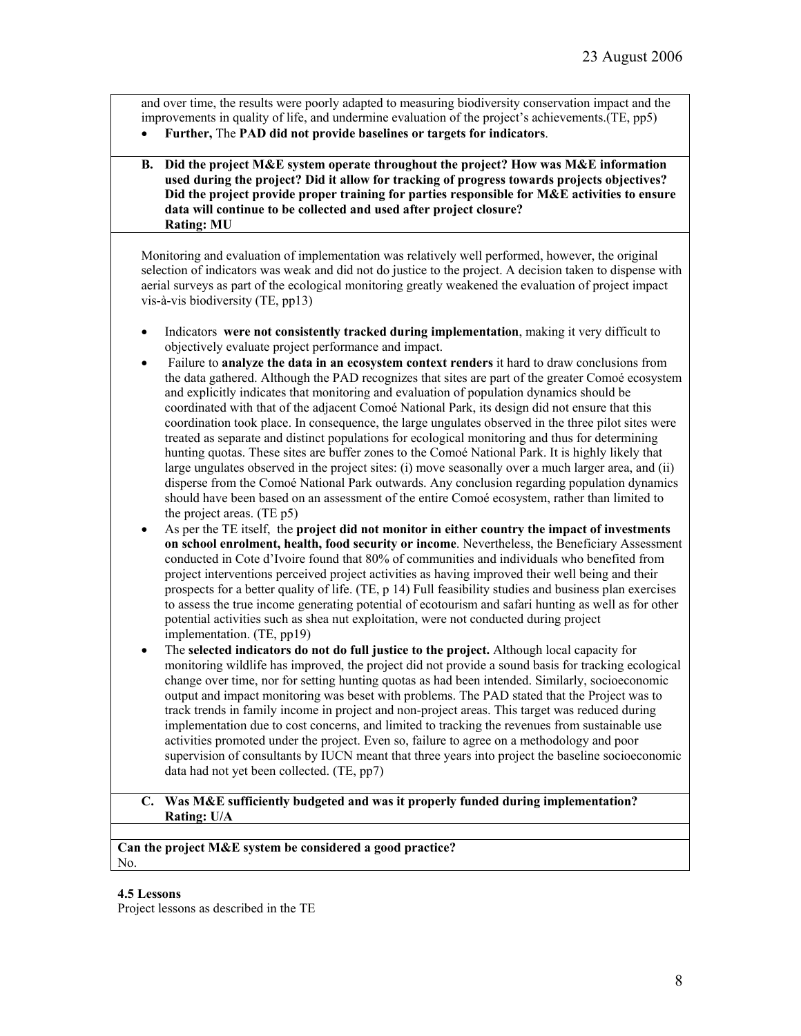and over time, the results were poorly adapted to measuring biodiversity conservation impact and the improvements in quality of life, and undermine evaluation of the project's achievements.(TE, pp5)

• **Further,** The **PAD did not provide baselines or targets for indicators**.

## **B. Did the project M&E system operate throughout the project? How was M&E information used during the project? Did it allow for tracking of progress towards projects objectives? Did the project provide proper training for parties responsible for M&E activities to ensure data will continue to be collected and used after project closure? Rating: MU**

Monitoring and evaluation of implementation was relatively well performed, however, the original selection of indicators was weak and did not do justice to the project. A decision taken to dispense with aerial surveys as part of the ecological monitoring greatly weakened the evaluation of project impact vis-à-vis biodiversity (TE, pp13)

- Indicators **were not consistently tracked during implementation**, making it very difficult to objectively evaluate project performance and impact.
- Failure to **analyze the data in an ecosystem context renders** it hard to draw conclusions from the data gathered. Although the PAD recognizes that sites are part of the greater Comoé ecosystem and explicitly indicates that monitoring and evaluation of population dynamics should be coordinated with that of the adjacent Comoé National Park, its design did not ensure that this coordination took place. In consequence, the large ungulates observed in the three pilot sites were treated as separate and distinct populations for ecological monitoring and thus for determining hunting quotas. These sites are buffer zones to the Comoé National Park. It is highly likely that large ungulates observed in the project sites: (i) move seasonally over a much larger area, and (ii) disperse from the Comoé National Park outwards. Any conclusion regarding population dynamics should have been based on an assessment of the entire Comoé ecosystem, rather than limited to the project areas. (TE p5)
- As per the TE itself, the **project did not monitor in either country the impact of investments on school enrolment, health, food security or income**. Nevertheless, the Beneficiary Assessment conducted in Cote d'Ivoire found that 80% of communities and individuals who benefited from project interventions perceived project activities as having improved their well being and their prospects for a better quality of life. (TE, p 14) Full feasibility studies and business plan exercises to assess the true income generating potential of ecotourism and safari hunting as well as for other potential activities such as shea nut exploitation, were not conducted during project implementation. (TE, pp19)
- The **selected indicators do not do full justice to the project.** Although local capacity for monitoring wildlife has improved, the project did not provide a sound basis for tracking ecological change over time, nor for setting hunting quotas as had been intended. Similarly, socioeconomic output and impact monitoring was beset with problems. The PAD stated that the Project was to track trends in family income in project and non-project areas. This target was reduced during implementation due to cost concerns, and limited to tracking the revenues from sustainable use activities promoted under the project. Even so, failure to agree on a methodology and poor supervision of consultants by IUCN meant that three years into project the baseline socioeconomic data had not yet been collected. (TE, pp7)

## **C. Was M&E sufficiently budgeted and was it properly funded during implementation? Rating: U/A**

**Can the project M&E system be considered a good practice?** No.

## **4.5 Lessons**

Project lessons as described in the TE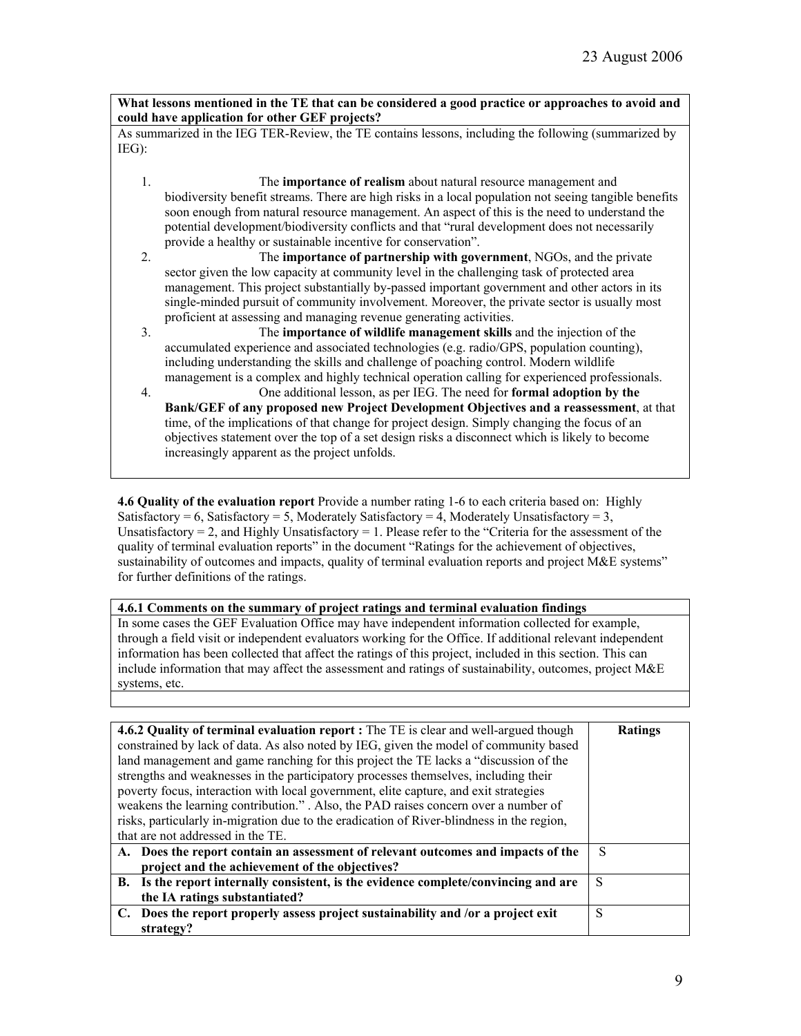**What lessons mentioned in the TE that can be considered a good practice or approaches to avoid and could have application for other GEF projects?**

As summarized in the IEG TER-Review, the TE contains lessons, including the following (summarized by IEG):

- 1. The **importance of realism** about natural resource management and biodiversity benefit streams. There are high risks in a local population not seeing tangible benefits soon enough from natural resource management. An aspect of this is the need to understand the potential development/biodiversity conflicts and that "rural development does not necessarily provide a healthy or sustainable incentive for conservation".
- 2. The **importance of partnership with government**, NGOs, and the private sector given the low capacity at community level in the challenging task of protected area management. This project substantially by-passed important government and other actors in its single-minded pursuit of community involvement. Moreover, the private sector is usually most proficient at assessing and managing revenue generating activities.
- 3. The **importance of wildlife management skills** and the injection of the accumulated experience and associated technologies (e.g. radio/GPS, population counting), including understanding the skills and challenge of poaching control. Modern wildlife management is a complex and highly technical operation calling for experienced professionals.
- 4. One additional lesson, as per IEG. The need for **formal adoption by the Bank/GEF of any proposed new Project Development Objectives and a reassessment**, at that time, of the implications of that change for project design. Simply changing the focus of an objectives statement over the top of a set design risks a disconnect which is likely to become increasingly apparent as the project unfolds.

**4.6 Quality of the evaluation report** Provide a number rating 1-6 to each criteria based on: Highly Satisfactory = 6, Satisfactory = 5, Moderately Satisfactory = 4, Moderately Unsatisfactory = 3, Unsatisfactory = 2, and Highly Unsatisfactory = 1. Please refer to the "Criteria for the assessment of the quality of terminal evaluation reports" in the document "Ratings for the achievement of objectives, sustainability of outcomes and impacts, quality of terminal evaluation reports and project M&E systems" for further definitions of the ratings.

# **4.6.1 Comments on the summary of project ratings and terminal evaluation findings**

In some cases the GEF Evaluation Office may have independent information collected for example, through a field visit or independent evaluators working for the Office. If additional relevant independent information has been collected that affect the ratings of this project, included in this section. This can include information that may affect the assessment and ratings of sustainability, outcomes, project M&E systems, etc.

| <b>4.6.2 Quality of terminal evaluation report :</b> The TE is clear and well-argued though<br>constrained by lack of data. As also noted by IEG, given the model of community based<br>land management and game ranching for this project the TE lacks a "discussion of the<br>strengths and weaknesses in the participatory processes themselves, including their<br>poverty focus, interaction with local government, elite capture, and exit strategies<br>weakens the learning contribution." . Also, the PAD raises concern over a number of<br>risks, particularly in-migration due to the eradication of River-blindness in the region,<br>that are not addressed in the TE. | <b>Ratings</b> |
|--------------------------------------------------------------------------------------------------------------------------------------------------------------------------------------------------------------------------------------------------------------------------------------------------------------------------------------------------------------------------------------------------------------------------------------------------------------------------------------------------------------------------------------------------------------------------------------------------------------------------------------------------------------------------------------|----------------|
| A. Does the report contain an assessment of relevant outcomes and impacts of the<br>project and the achievement of the objectives?                                                                                                                                                                                                                                                                                                                                                                                                                                                                                                                                                   | S              |
|                                                                                                                                                                                                                                                                                                                                                                                                                                                                                                                                                                                                                                                                                      |                |
| B. Is the report internally consistent, is the evidence complete/convincing and are<br>the IA ratings substantiated?                                                                                                                                                                                                                                                                                                                                                                                                                                                                                                                                                                 | S              |
| C. Does the report properly assess project sustainability and /or a project exit<br>strategy?                                                                                                                                                                                                                                                                                                                                                                                                                                                                                                                                                                                        | S              |